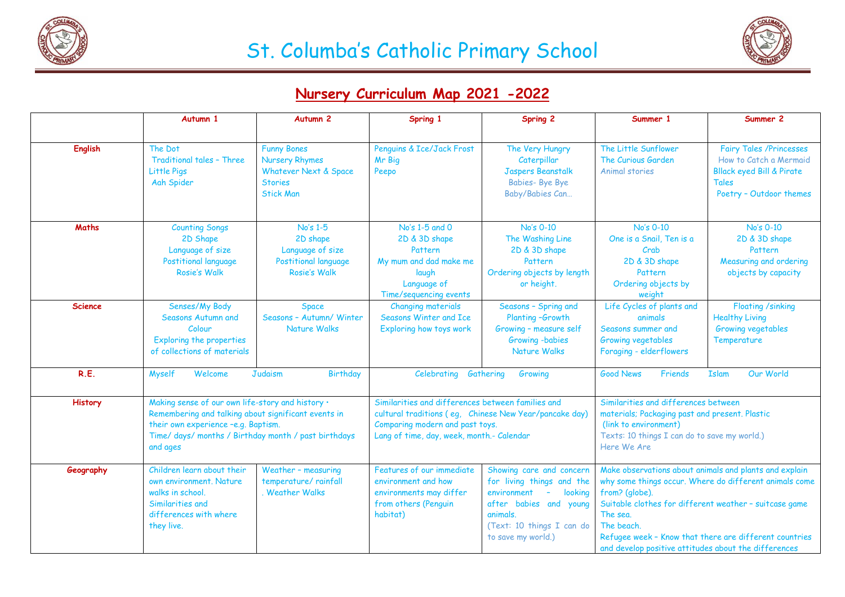



## **Nursery Curriculum Map 2021 -2022**

|                | Autumn 1                                                                                                                                                                                                           | Autumn <sub>2</sub>                                                                                        | Spring 1                                                                                                                                                                                    | Spring 2                                                                                                                                                                           | Summer 1                                                                                                                                                                                                                                                                                                                                 | Summer 2                                                                                                                                    |
|----------------|--------------------------------------------------------------------------------------------------------------------------------------------------------------------------------------------------------------------|------------------------------------------------------------------------------------------------------------|---------------------------------------------------------------------------------------------------------------------------------------------------------------------------------------------|------------------------------------------------------------------------------------------------------------------------------------------------------------------------------------|------------------------------------------------------------------------------------------------------------------------------------------------------------------------------------------------------------------------------------------------------------------------------------------------------------------------------------------|---------------------------------------------------------------------------------------------------------------------------------------------|
|                |                                                                                                                                                                                                                    |                                                                                                            |                                                                                                                                                                                             |                                                                                                                                                                                    |                                                                                                                                                                                                                                                                                                                                          |                                                                                                                                             |
| <b>English</b> | The Dot<br>Traditional tales - Three<br>Little Pigs<br>Aah Spider                                                                                                                                                  | <b>Funny Bones</b><br><b>Nursery Rhymes</b><br>Whatever Next & Space<br><b>Stories</b><br><b>Stick Man</b> | Penguins & Ice/Jack Frost<br>Mr Big<br>Peepo                                                                                                                                                | The Very Hungry<br>Caterpillar<br><b>Jaspers Beanstalk</b><br><b>Babies-Bye Bye</b><br>Baby/Babies Can                                                                             | The Little Sunflower<br>The Curious Garden<br>Animal stories                                                                                                                                                                                                                                                                             | <b>Fairy Tales /Princesses</b><br>How to Catch a Mermaid<br><b>Bllack eyed Bill &amp; Pirate</b><br><b>Tales</b><br>Poetry - Outdoor themes |
| Maths          | <b>Counting Songs</b><br>2D Shape<br>Language of size<br>Postitional language<br><b>Rosie's Walk</b>                                                                                                               | No's 1-5<br>2D shape<br>Language of size<br>Postitional language<br><b>Rosie's Walk</b>                    | No's 1-5 and 0<br>2D & 3D shape<br>Pattern<br>My mum and dad make me<br>laugh<br>Language of<br>Time/sequencing events                                                                      | No's 0-10<br>The Washing Line<br>2D & 3D shape<br>Pattern<br>Ordering objects by length<br>or height.                                                                              | No's 0-10<br>One is a Snail, Ten is a<br>Crab<br>2D & 3D shape<br>Pattern<br>Ordering objects by<br>weight                                                                                                                                                                                                                               | No's 0-10<br>2D & 3D shape<br>Pattern<br>Measuring and ordering<br>objects by capacity                                                      |
| <b>Science</b> | Senses/My Body<br>Seasons Autumn and<br>Colour<br>Exploring the properties<br>of collections of materials                                                                                                          | <b>Space</b><br>Seasons - Autumn/ Winter<br><b>Nature Walks</b>                                            | <b>Changing materials</b><br>Seasons Winter and Ice<br>Exploring how toys work                                                                                                              | Seasons - Spring and<br>Planting-Growth<br>Growing - measure self<br>Growing -babies<br>Nature Walks                                                                               | Life Cycles of plants and<br>animals<br>Seasons summer and<br>Growing vegetables<br>Foraging - elderflowers                                                                                                                                                                                                                              | <b>Floating /sinking</b><br><b>Healthy Living</b><br>Growing vegetables<br>Temperature                                                      |
| R.E.           | Judaism<br><b>Myself</b><br>Welcome<br><b>Birthday</b>                                                                                                                                                             |                                                                                                            | Celebrating Gathering<br>Growing                                                                                                                                                            |                                                                                                                                                                                    | <b>Good News</b><br>Our World<br>Friends<br><b>Islam</b>                                                                                                                                                                                                                                                                                 |                                                                                                                                             |
| <b>History</b> | Making sense of our own life-story and history .<br>Remembering and talking about significant events in<br>their own experience -e.g. Baptism.<br>Time/ days/ months / Birthday month / past birthdays<br>and ages |                                                                                                            | Similarities and differences between families and<br>cultural traditions (eg, Chinese New Year/pancake day)<br>Comparing modern and past toys.<br>Lang of time, day, week, month.- Calendar |                                                                                                                                                                                    | Similarities and differences between<br>materials; Packaging past and present. Plastic<br>(link to environment)<br>Texts: 10 things I can do to save my world.)<br>Here We Are                                                                                                                                                           |                                                                                                                                             |
| Geography      | Children learn about their<br>own environment. Nature<br>walks in school.<br>Similarities and<br>differences with where<br>they live.                                                                              | Weather - measuring<br>temperature/ rainfall<br><b>Weather Walks</b>                                       | Features of our immediate<br>environment and how<br>environments may differ<br>from others (Penguin<br>habitat)                                                                             | Showing care and concern<br>for living things and the<br>looking<br>environment<br>$\sim$<br>after babies and young<br>animals.<br>(Text: 10 things I can do<br>to save my world.) | Make observations about animals and plants and explain<br>why some things occur. Where do different animals come<br>from? (globe).<br>Suitable clothes for different weather - suitcase game<br>The sea.<br>The beach.<br>Refugee week - Know that there are different countries<br>and develop positive attitudes about the differences |                                                                                                                                             |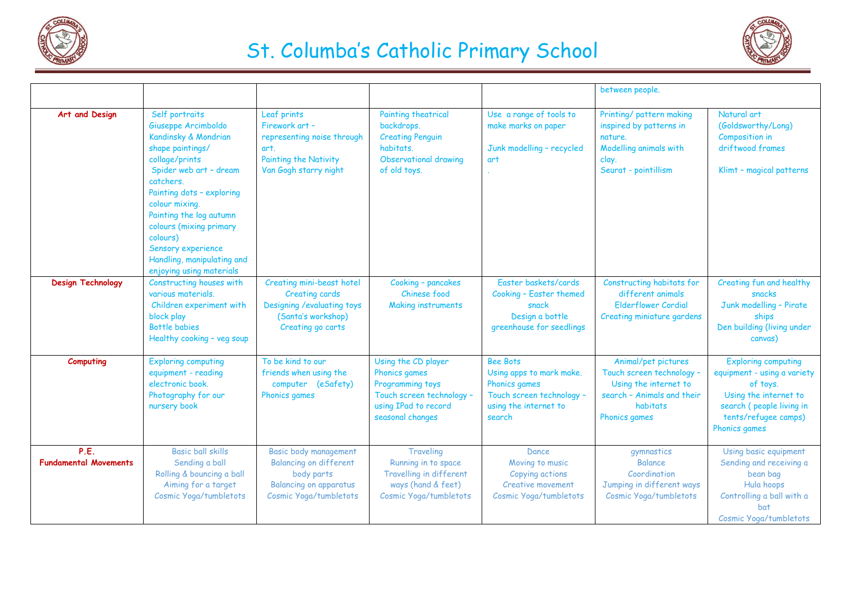

## St. Columba's Catholic Primary School



|                                      |                                                                                                                                                                                                                                                                                                                                             |                                                                                                                                 |                                                                                                                                   |                                                                                                                              | between people.                                                                                                                      |                                                                                                                                                                     |
|--------------------------------------|---------------------------------------------------------------------------------------------------------------------------------------------------------------------------------------------------------------------------------------------------------------------------------------------------------------------------------------------|---------------------------------------------------------------------------------------------------------------------------------|-----------------------------------------------------------------------------------------------------------------------------------|------------------------------------------------------------------------------------------------------------------------------|--------------------------------------------------------------------------------------------------------------------------------------|---------------------------------------------------------------------------------------------------------------------------------------------------------------------|
| Art and Design                       | Self portraits<br>Giuseppe Arcimboldo<br>Kandinsky & Mondrian<br>shape paintings/<br>collage/prints<br>Spider web art - dream<br>catchers.<br>Painting dots - exploring<br>colour mixing.<br>Painting the log autumn<br>colours (mixing primary<br>colours)<br>Sensory experience<br>Handling, manipulating and<br>enjoying using materials | Leaf prints<br>Firework art -<br>representing noise through<br>art.<br><b>Painting the Nativity</b><br>Van Gogh starry night    | <b>Painting theatrical</b><br>backdrops.<br><b>Creating Penguin</b><br>habitats.<br>Observational drawing<br>of old toys.         | Use a range of tools to<br>make marks on paper<br>Junk modelling - recycled<br>art                                           | Printing/ pattern making<br>inspired by patterns in<br>nature.<br>Modelling animals with<br>clay.<br>Seurat - pointillism            | Natural art<br>(Goldsworthy/Long)<br><b>Composition in</b><br>driftwood frames<br>Klimt - magical patterns                                                          |
| <b>Design Technology</b>             | Constructing houses with<br>various materials.<br>Children experiment with<br>block play<br>Bottle babies<br>Healthy cooking - veg soup                                                                                                                                                                                                     | Creating mini-beast hotel<br>Creating cards<br>Designing / evaluating toys<br>(Santa's workshop)<br>Creating go carts           | Cooking - pancakes<br>Chinese food<br>Making instruments                                                                          | Easter baskets/cards<br>Cooking - Easter themed<br>snack<br>Design a bottle<br>greenhouse for seedlings                      | Constructing habitats for<br>different animals<br><b>Elderflower Cordial</b><br>Creating miniature gardens                           | Creating fun and healthy<br>snacks<br>Junk modelling - Pirate<br>ships<br>Den building (living under<br>canvas)                                                     |
| Computing                            | <b>Exploring computing</b><br>equipment - reading<br>electronic book.<br>Photography for our<br>nursery book                                                                                                                                                                                                                                | To be kind to our<br>friends when using the<br>computer (eSafety)<br>Phonics games                                              | Using the CD player<br>Phonics games<br>Programming toys<br>Touch screen technology -<br>using IPad to record<br>seasonal changes | <b>Bee Bots</b><br>Using apps to mark make.<br>Phonics games<br>Touch screen technology -<br>using the internet to<br>search | Animal/pet pictures<br>Touch screen technology -<br>Using the internet to<br>search - Animals and their<br>habitats<br>Phonics games | <b>Exploring computing</b><br>equipment - using a variety<br>of toys.<br>Using the internet to<br>search (people living in<br>tents/refugee camps)<br>Phonics games |
| P.E.<br><b>Fundamental Movements</b> | Basic ball skills<br>Sending a ball<br>Rolling & bouncing a ball<br>Aiming for a target<br>Cosmic Yoga/tumbletots                                                                                                                                                                                                                           | Basic body management<br><b>Balancing on different</b><br>body parts<br><b>Balancing on apparatus</b><br>Cosmic Yoga/tumbletots | Traveling<br>Running in to space<br>Travelling in different<br>ways (hand & feet)<br>Cosmic Yoga/tumbletots                       | Dance<br>Moving to music<br>Copying actions<br><b>Creative movement</b><br>Cosmic Yoga/tumbletots                            | gymnastics<br><b>Balance</b><br>Coordination<br>Jumping in different ways<br>Cosmic Yoga/tumbletots                                  | Using basic equipment<br>Sending and receiving a<br>bean bag<br>Hula hoops<br>Controlling a ball with a<br><b>bat</b><br>Cosmic Yoga/tumbletots                     |